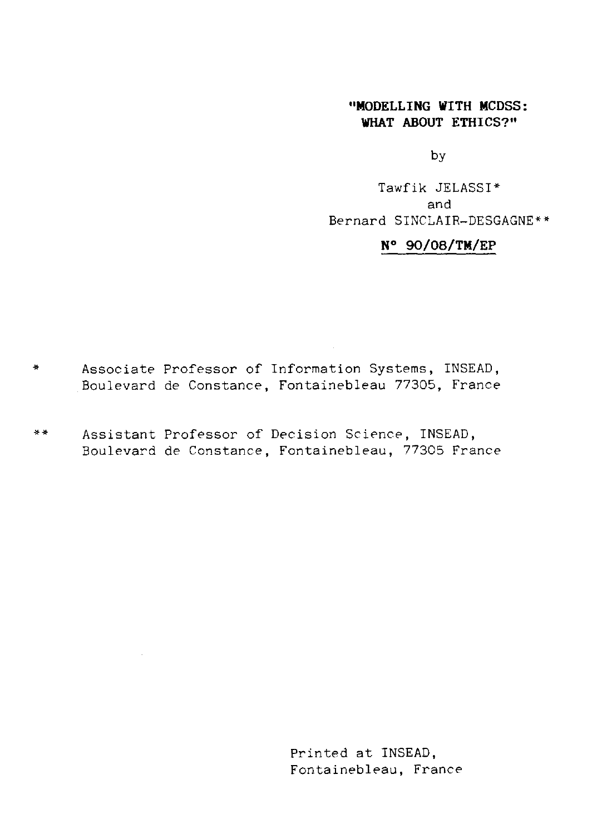### **"MODELLING WITH MCDSS: WHAT ABOUT ETHICS?"**

by

Tawfik JELASSI\* and Bernard SINCLAIR—DESGAGNE\*\*

# N° 90/08/TM/EP

- Associate Professor of Information Systems, INSEAD,  $\frac{1}{2}$ Boulevard de Constance, Fontainebleau 77305, France
- \* \* Assistant Professor of Decision Science, INSEAD, Boulevard de Constance, Fontainebleau, 77305 France

Printed at INSEAD, Fontainebleau, France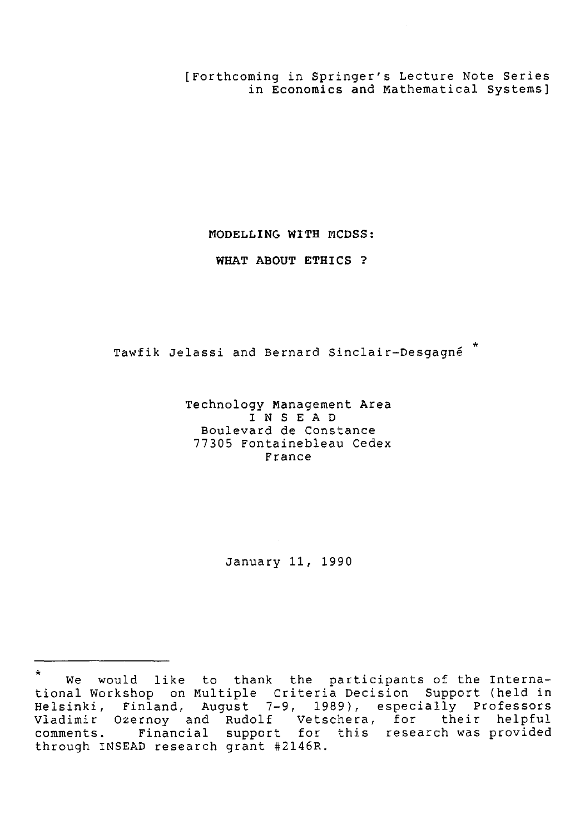[Forthcoming in Springer's Lecture Note Series in Economics and Mathematical Systems]

**MODELLING WITH MCDSS:**

**WHAT ABOUT ETHICS ?**

.<br>Tawfik Jelassi and Bernard Sinclair-Desgagné  $^{\star}$ 

Technology Management Area INSEAD Boulevard de Constance 77305 Fontainebleau Cedex France

January 11, 1990

We would like to thank the participants of the International Workshop on Multiple Criteria Decision Support (held in Helsinki, Finland, August 7-9, 1989), especially Professors January 11, 1990<br>
\* We would like to thank the participants of the Interna-<br>
tional Workshop on Multiple Criteria Decision Support (held in<br>
Helsinki, Finland, August 7-9, 1989), especially Professors<br>
Vladimir Ozernoy and January 11, 1990<br>
\* We would like to thank the participants of the Interna-<br>
tional Workshop on Multiple Criteria Decision Support (held in<br>
Helsinki, Finland, August 7-9, 1989), especially Professors<br>
Vladimir Ozernoy and through INSEAD research grant #2146R.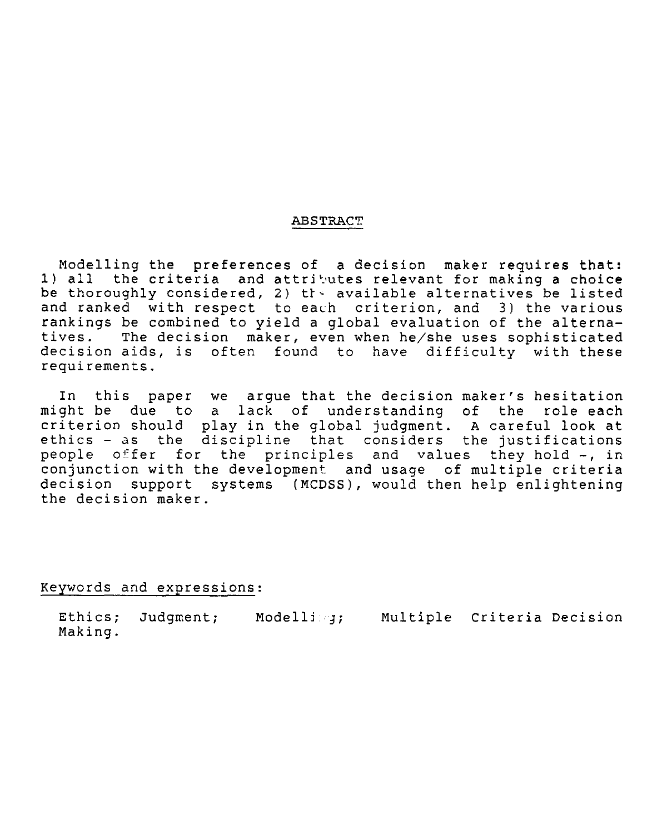#### ABSTRACT

Modelling the preferences of a decision maker requires that: 1) all the criteria and attributes relevant for making a choice be thoroughly considered, 2) the available alternatives be listed and ranked with respect to each criterion, and 3) the various rankings be combined to yield a global evaluation of the alterna-<br>tives. The decision maker, even when he/she uses sophisticated The decision maker, even when he/she uses sophisticated decision aids, is often found to have difficulty with these requirements.

In this paper we argue that the decision maker's hesitation might be due to a lack of understanding of the role each criterion should play in the global judgment. A careful look at ethics - as the discipline that considers the justifications people offer for the principles and values they hold -, in conjunction with the development and usage of multiple criteria decision support systems (MCDSS), would then help enlightening the decision maker. iterion should plane<br>hics - as the discople offer for the<br>mjunction with the<br>cision support sy<br>decision maker.<br>We decision maker.<br>Ethics; Judgment;<br>Making. n the global judgment. A careful look at<br>line that considers the justifications<br>principles and values they hold -, in<br>elopment and usage of multiple criteria<br>ms (MCDSS), would then help enlightening<br>SMCDSS), would then hel

Keywords and expressions:

Making.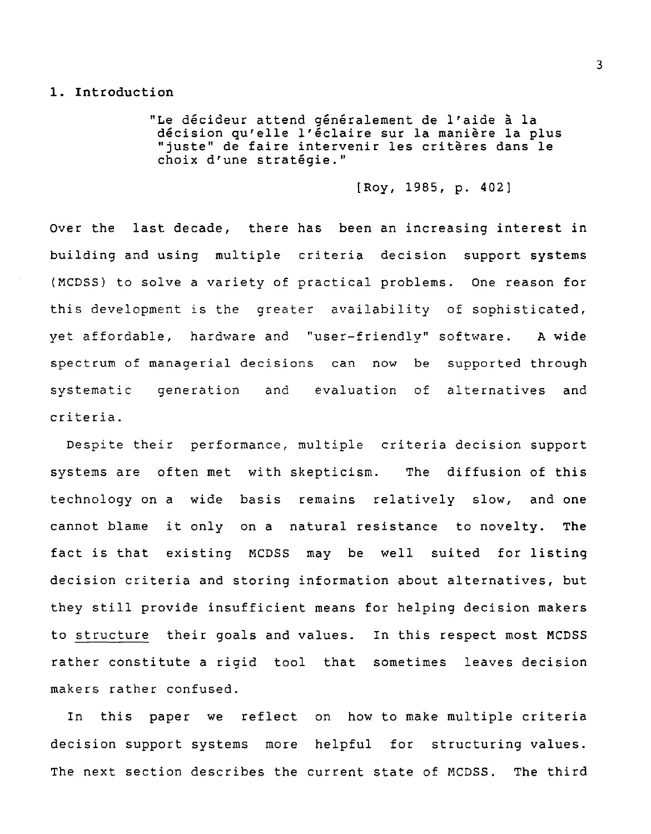## 1. Introduction

"Le décideur attend généralement de l'aide à la décision qu'elle l'éclaire sur la manière la plus "juste" de faire intervenir les critères dans le choix d'une stratégie."

[Roy, 1985, p. 402]

Over the last decade, there has been an increasing interest in building and using multiple criteria decision support systems (MCDSS) to solve a variety of practical problems. One reason for this development is the greater availability of sophisticated, yet affordable, hardware and "user-friendly" software. A wide spectrum of managerial decisions can now be supported through Over the last decade, there has been an increasing interest in<br>building and using multiple criteria decision support systems<br>(MCDSS) to solve a variety of practical problems. One reason for<br>this development is the greater criteria.

Despite their performance, multiple criteria decision support systems are often met with skepticism. The diffusion of this technology on a wide basis remains relatively slow, and one cannot blame it only on a natural resistance to novelty. The fact is that existing MCDSS may be well suited for listing decision criteria and storing information about alternatives, but they still provide insufficient means for helping decision makers to structure their goals and values. In this respect most MCDSS rather constitute a rigid tool that sometimes leaves decision makers rather confused.

In this paper we reflect on how to make multiple criteria decision support systems more helpful for structuring values. The next section describes the current state of MCDSS. The third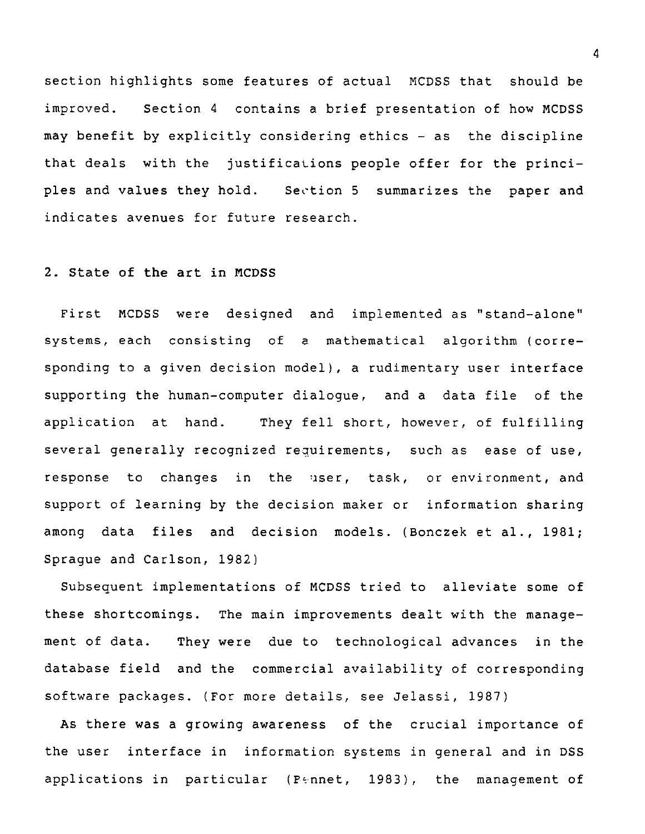section highlights some features of actual MCDSS that should be improved. Section 4 contains a brief presentation of how MCDSS may benefit by explicitly considering ethics - as the discipline that deals with the justifications people offer for the princisection highlights some features of actual MCDSS that should be<br>improved. Section 4 contains a brief presentation of how MCDSS<br>may benefit by explicitly considering ethics - as the discipline<br>that deals with the justificat indicates avenues for future research.

## 2. State of the art in MCDSS

First MCDSS were designed and implemented as "stand-alone" systems, each consisting of a mathematical algorithm (corresponding to a given decision model), a rudimentary user interface supporting the human-computer dialogue, and a data file of the application at hand. They fell short, however, of fulfilling several generally recognized requirements, such as ease of use, response to changes in the user, task, or environment, and support of learning by the decision maker or information sharing among data files and decision models. (Bonczek et al., 1981; Sprague and Carlson, 1982)

Subsequent implementations of MCDSS tried to alleviate some of these shortcomings. The main improvements dealt with the management of data. They were due to technological advances in the database field and the commercial availability of corresponding software packages. (For more details, see Jelassi, 1987)

As there was a growing awareness of the crucial importance of the user interface in information systems in general and in DSS applications in particular (Pennet, 1983), the management of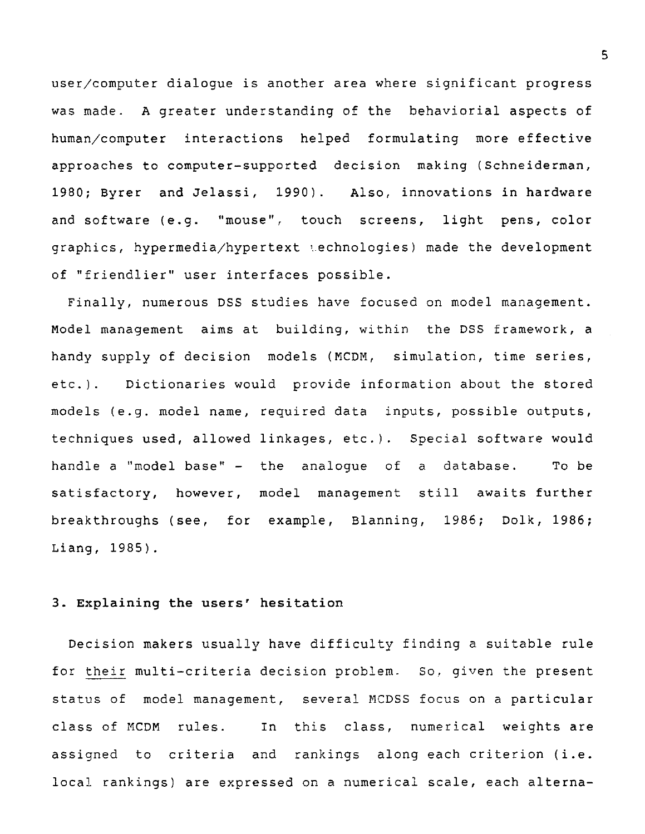user/computer dialogue is another area where significant progress was made. A greater understanding of the behaviorial aspects of human/computer interactions helped formulating more effective approaches to computer-supported decision making (Schneiderman, 1980; Byrer and Jelassi, 1990). Also, innovations in hardware and software (e.g. "mouse", touch screens, light pens, color graphics, hypermedia/hypertext technologies) made the development of "friendlier" user interfaces possible.

Finally, numerous DSS studies have focused on model management. Model management aims at building, within the DSS framework, a handy supply of decision models (MCDM, simulation, time series, etc.). Dictionaries would provide information about the stored models (e.g. model name, required data inputs, possible outputs, techniques used, allowed linkages, etc.). Special software would handle a "model base" - the analogue of a database. To be satisfactory, however, model management still awaits further breakthroughs (see, for example, Blanning, 1986; Dolk, 1986; Liang, 1985).

# **3. Explaining the users' hesitation**

Decision makers usually have difficulty finding a suitable rule for their multi-criteria decision problem. So, given the present status of model management, several MCDSS focus on a particular class of MCDM rules. In this class, numerical weights are assigned to criteria and rankings along each criterion (i.e. local rankings) are expressed on a numerical scale, each alterna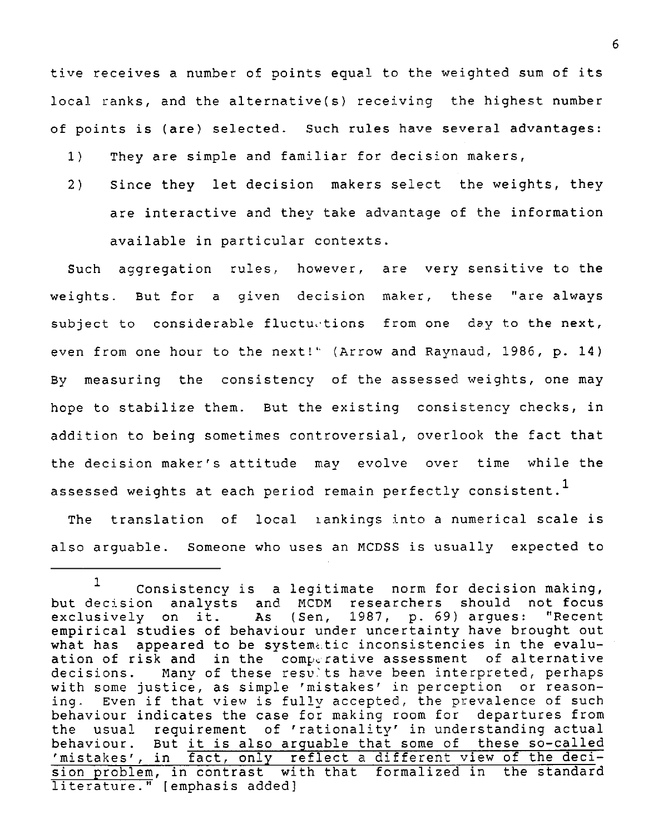tive receives a number of points equal to the weighted sum of its local ranks, and the alternative(s) receiving the highest number of points is (are) selected. Such rules have several advantages:

- 1) They are simple and familiar for decision makers,
- 2) Since they let decision makers select the weights, they are interactive and they take advantage of the information available in particular contexts.

Such aggregation rules, however, are very sensitive to the weights. But for a given decision maker, these "are always subject to considerable fluctuations from one day to the next, even from one hour to the next!' (Arrow and Raynaud, 1986, p. 14) By measuring the consistency of the assessed weights, one may hope to stabilize them. But the existing consistency checks, in addition to being sometimes controversial, overlook the fact that the decision maker's attitude may evolve over time while the assessed weights at each period remain perfectly consistent.<sup>1</sup>

The translation of local iankings into a numerical scale is also arguable. Someone who uses an MCDSS is usually expected to

<sup>1</sup> Consistency is a legitimate norm for decision making, but decision analysts and MCDM researchers should not focus As (Sen, 1987, p. 69) argues: "Recent empirical studies of behaviour under uncertainty have brought out what has appeared to be systematic inconsistencies in the evaluation of risk and in the comperative assessment of alternative<br>decisions. Many of these results have been interpreted, perhaps Many of these results have been interpreted, perhaps with some justice, as simple 'mistakes' in perception or reason-<br>ing. Even if that view is fully accepted, the prevalence of such Even if that view is fully accepted, the prevalence of such behaviour indicates the case for making room for departures from the usual requirement of 'rationality' in understanding actual behaviour. But it is also arguable that some of these so-called 'mistakes', in fact, only reflect a different view of the decision problem, in contrast with that formalized in the standard literature." [emphasis added]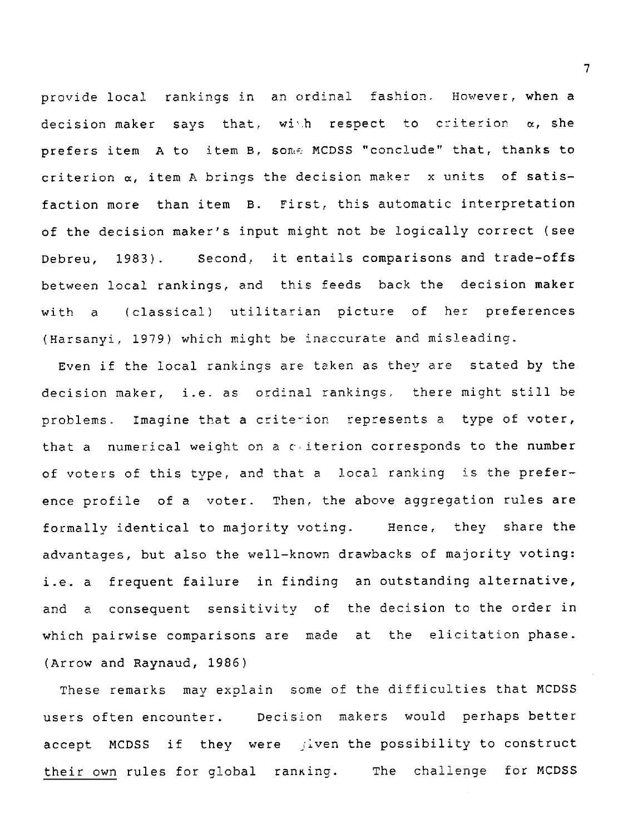provide local rankings in an ordinal fashion. However, when a decision maker says that, with respect to criterion  $\alpha$ , she prefers item A to item B, some MCDSS "conclude" that, thanks to criterion  $\alpha$ , item A brings the decision maker  $x$  units of satisfaction more than item B. First, this automatic interpretation of the decision maker's input might not be logically correct (see Debreu, 1983). Second, it entails comparisons and trade-offs between local rankings, and this feeds back the decision maker prefers item A to item B, some MCDSS "conclude" that, thanks to<br>criterion  $\alpha$ , item A brings the decision maker x units of satis-<br>faction more than item B. First, this automatic interpretation<br>of the decision maker's inp (Harsanyi, 1979) which might be inaccurate and misleading.

Even if the local rankings are taken as they are stated by the decision maker, i.e. as ordinal rankings. there might still be problems. Imagine that a criterion represents a type of voter, that a numerical weight on a cuiterion corresponds to the number of voters of this type, and that a local ranking is the preference profile of a voter. Then, the above aggregation rules are formally identical to majority voting. Hence, they share the advantages, but also the well-known drawbacks of majority voting: i.e. a frequent failure in finding an outstanding alternative, and a consequent sensitivity of the decision to the order in which pairwise comparisons are made at the elicitation phase. (Arrow and Raynaud, 1986)

These remarks may explain some of the difficulties that MCDSS users often encounter. Decision makers would perhaps better accept MCDSS if they were riven the possibility to construct and a consequent sensitivity of the decision to the order in<br>which pairwise comparisons are made at the elicitation phase.<br>(Arrow and Raynaud, 1986)<br>These remarks may explain some of the difficulties that MCDSS<br>users often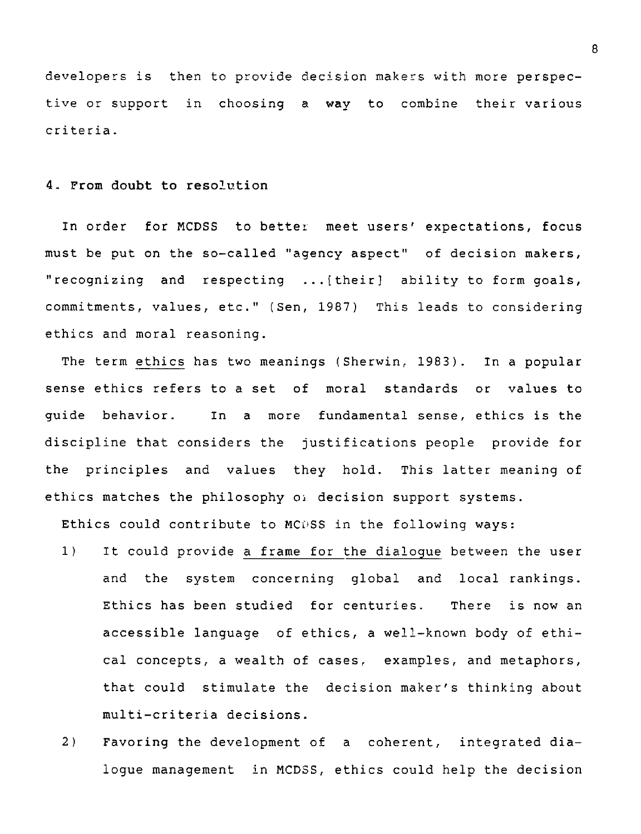developers is then to provide decision makers with more perspective or support in choosing a way to combine their various criteria.

#### **4. From doubt to resolution**

In order for MCDSS to better meet users' expectations, focus must be put on the so-called "agency aspect" of decision makers, "recognizing and respecting ...[their] ability to form goals, commitments, values, etc." (Sen, 1987) This leads to considering ethics and moral reasoning.

The term ethics has two meanings (Sherwin, 1983). In a popular sense ethics refers to a set of moral standards or values to guide behavior. In a more fundamental sense, ethics is the discipline that considers the justifications people provide for the principles and values they hold. This latter meaning of ethics and moral reasoning.<br>The term <u>ethics</u> has two meanings (Sherwin, 1983). In a<br>sense ethics refers to a set of moral standards or va<br>guide behavior. In a more fundamental sense, ethics<br>discipline that considers the j

Ethics could contribute to MCDSS in the following ways:

- 1) It could provide a frame for the dialogue between the user and the system concerning global and local rankings. Ethics has been studied for centuries. There is now an accessible language of ethics, a well-known body of ethical concepts, a wealth of cases, examples, and metaphors, that could stimulate the decision maker's thinking about multi-criteria decisions.
- 2) Favoring the development of a coherent, integrated dialogue management in MCDSS, ethics could help the decision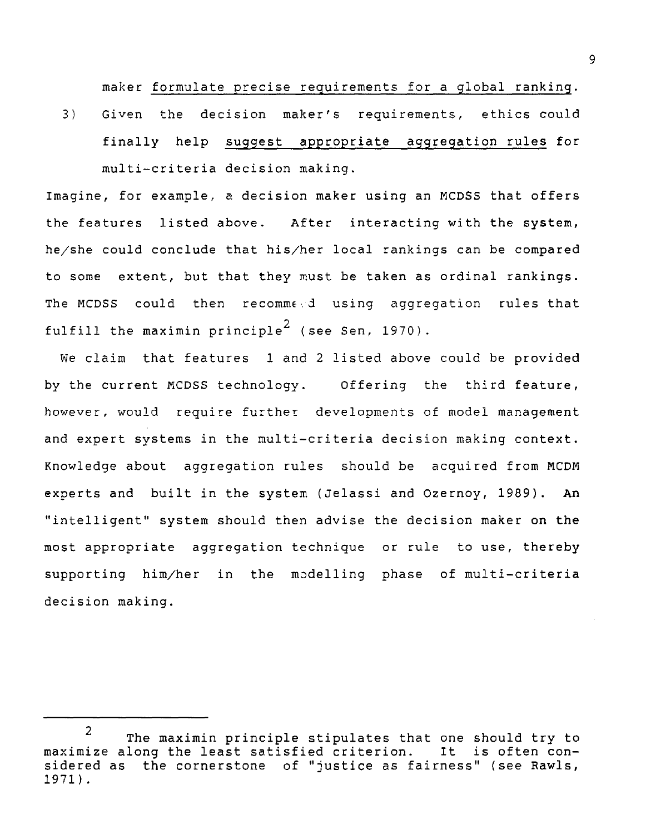maker formulate precise requirements for a global ranking. 3) Given the decision maker's requirements, ethics could finally help suggest appropriate aggregation rules for multi-criteria decision making.

Imagine, for example, a decision maker using an MCDSS that offers the features listed above. After interacting with the system, he/she could conclude that his/her local rankings can be compared to some extent, but that they must be taken as ordinal rankings. The MCDSS could then recommed using aggregation rules that fulfill the maximin principle<sup>2</sup> (see Sen, 1970).

We claim that features 1 and 2 listed above could be provided by the current MCDSS technology. Offering the third feature, however, would require further developments of model management and expert systems in the multi-criteria decision making context. Knowledge about aggregation rules should be acquired from MCDM experts and built in the system (Jelassi and Ozernoy, 1989). An "intelligent" system should then advise the decision maker on the most appropriate aggregation technique or rule to use, thereby supporting him/her in the modelling phase of multi-criteria decision making.

<sup>2</sup> The maximin principle stipulates that one should try to<br>long the least satisfied criterion. It is often conmaximize along the least satisfied criterion. sidered as the cornerstone of "justice as fairness" (see Rawls, 1971).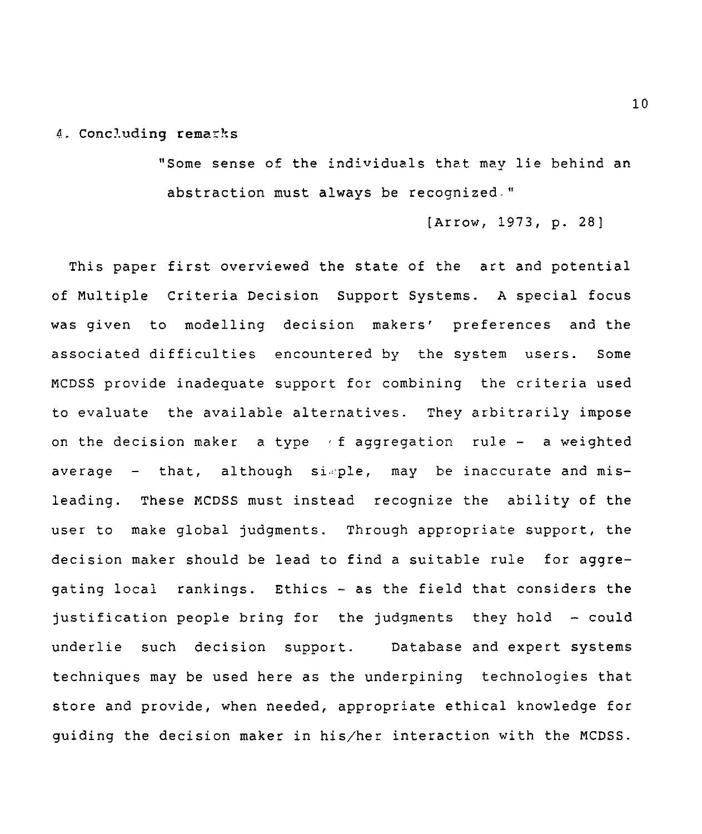#### 4. Concluding remarks

"Some sense of the individuals that may lie behind an abstraction must always be recognized-"

```
(Arrow, 1973, p. 28]
```
This paper first overviewed the state of the art and potential of Multiple Criteria Decision Support Systems. A special focus was given to modelling decision makers' preferences and the associated difficulties encountered by the system users. Some MCDSS provide inadequate support for combining the criteria used to evaluate the available alternatives. They arbitrarily impose on the decision maker a type  $\ell$  f aggregation rule - a weighted average  $-$  that, although simple, may be inaccurate and misleading. These MCDSS must instead recognize the ability of the user to make global judgments. Through appropriate support, the decision maker should be lead to find a suitable rule for aggregating local rankings. Ethics - as the field that considers the justification people bring for the judgments they hold - could underlie such decision support. Database and expert systems techniques may be used here as the underpining technologies that store and provide, when needed, appropriate ethical knowledge for guiding the decision maker in his/her interaction with the MCDSS.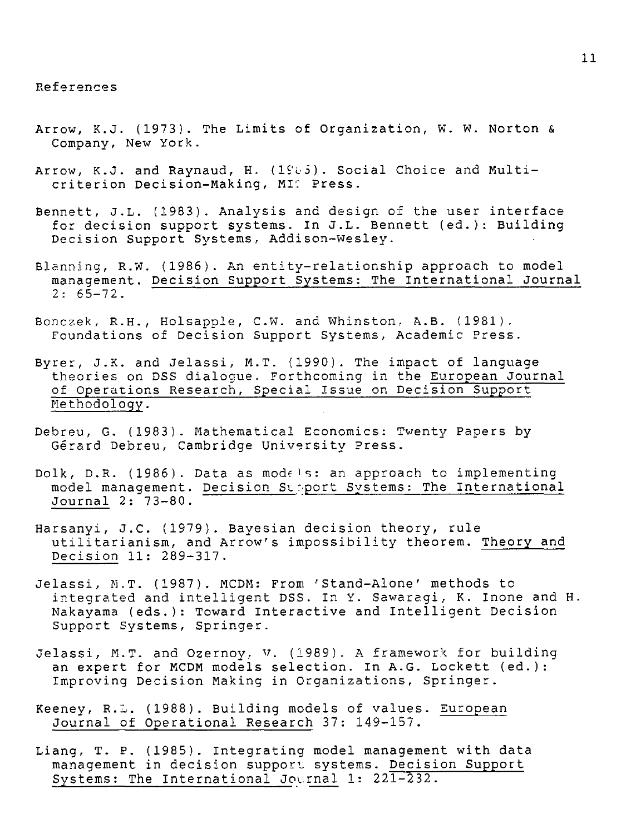## References

- Arrow, K.J. (1973). The Limits of Organization, W. W. Norton & Company, *New* York.
- Arrow, K.J. and Raynaud, H. (1983). Social Choice and Multicriterion Decision-Making, MI': Press.
- Bennett, J.L. (1983). Analysis and design of the user interface for decision support systems. In J.L. Bennett (ed.): Building Decision Support Systems, Addison-Wesley.
- Blanning, R.W. (1986). An entity-relationship approach to model management. Decision Support Systems: The International Journal  $2: 65 - 72$ .
- Bonczek, R.H., Holsapple, C.W. and Whinston, A.B. (1981). Foundations of Decision Support Systems, Academic Press.
- Byrer, J.K. and Jelassi, M.T. (1990). The impact of language theories on DSS dialogue. Forthcoming in the European Journal of Operations Research, Special Issue on Decision Support Methodology.
- Debreu, G. (1983). Mathematical Economics: Twenty Papers by Gerard Debreu, Cambridge University Press.
- Dolk, D.R. (1986). Data as models: an approach to implementing model management. Decision Support Systems: The International Journal 2: 73-80.
- Harsanyi, J.C. (1979). Bayesian decision theory, rule utilitarianism, and Arrow's impossibility theorem. Theory and Decision 11: 289-317.
- Jelassi, M.T. (1987). MCDM: From 'Stand-Alone' methods to integrated and intelligent DSS. In Y. Sawaragi, K. Inone and H. Nakayama (eds.): Toward Interactive and Intelligent Decision Support Systems, Springer. Harsanyi, J.C. (1979). Bayesian decision theory, rule<br>utilitarianism, and Arrow's impossibility theorem. The<br>Decision 11: 289-317.<br>Jelassi, M.T. (1987). MCDM: From 'Stand-Alone' methods t<br>integrated and intelligent DSS. In
- Jelassi, M.T. and Ozernoy, V. (1989). A framework for building an expert for MCDM models selection. In A.G. Lockett (ed.): Improving Decision Making in Organizations, Springer.
- Journal of Operational Research 37: 149-157.
- Liang, T. P. (1985). Integrating model management with data management in decision support systems. Decision Support Systems: The International Journal 1: 221-232.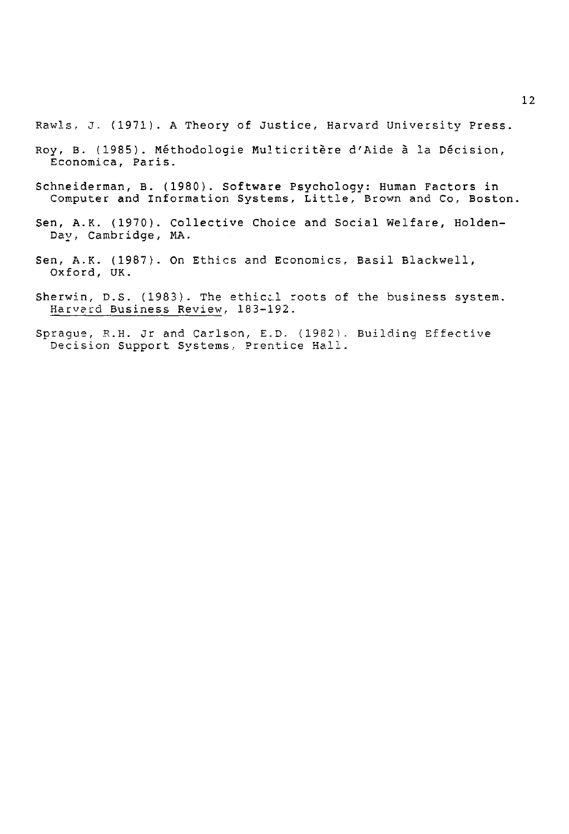Rawls, J. (1971). A Theory of Justice, Harvard University Press.

- Roy, B. (1985). Methodologie Multicritere d'Aide a la Decision, Economica, Paris.
- Schneiderman, B. (1980). Software Psychology: Human Factors in Computer and Information Systems, Little, Brown and Co, Boston.
- Sen, A.K. (1970). Collective Choice and Social Welfare, Holden-Day, Cambridge, MA.
- Sen, A.K. (1987). On Ethics and Economics, Basil Blackwell, Oxford, UK.
- Sherwin, D.S. (1983). The ethiccl roots of the business system. Harvard Business Review, 183-192.
- Sprague, R.H. Jr and Carlson, E.D. (1982). Building Effective Decision Support Systems, Prentice Hall.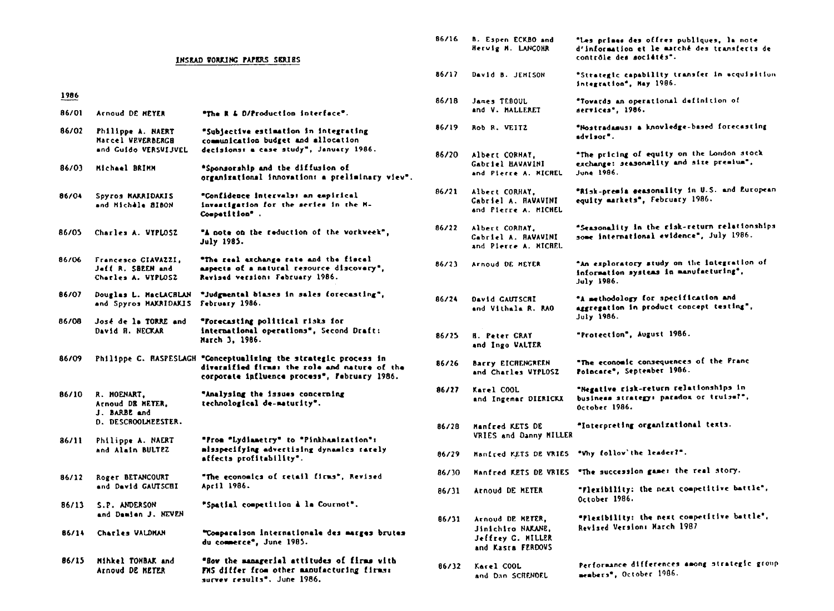#### INSEAD **vomisc** PAPERS SIOU8S

#### 1986

- ENSRAD VORKING PAPERS SERIES<br>1986<br>86/01 Arnoud DE MEYER "The R & D/Production interface".<br>86/02 Philippe A. NAERT "Subiective estimation in interr
- 86/02 Philippe A. NAERT Marcel VFVERBERC8 and Guido vERSVIJVEL 1986<br>86/01 Arnoud DE MET<br>86/02 Philippe A. N<br>Marcel WEVERB<br>and Guido VER<br>86/03 Michael BRIMM °Subjective estiaetion in Integrating communication budget and allocation decisions: a case study", January 1986. "The R & D/Production interface".<br>"Subjective estimation in integration<br>communication budget and allocation<br>decisions: a case study", January 1<br>"Sponsorship and the diffusion of<br>"Confidence intervals: an empirical<br>invastig
- ' Sponsorship and the diffusion of organizational innovation, • preliminary viev'.
- 86/04 Spyros MKAIDAXIS and MichAle 8160N **"Confidence intervals: an empirical**<br>investigation for the series in the **M**-Competition\* .
- 86/05 Charles A. VTPLOSZ "A note on the reduction of the vorkveek", July 1985.
- 86/04 Spyros MAKRIDAKIS<br>
and Michale BlBON<br>
86/05 Charles A. VIPLOSZ<br>
86/06 Francesco GIAVAZZI,<br>
Jeff R. SBEEN and<br>
Charles A. VIPLOSZ Jeff R. SIREN and Charles A. WYPLOSZ ' The real exchange rate and the fiscal aspects of • natural resource discovery', Revised version, February 1986.
- 86/07 Douglas L. M•cLACNLAN 'Judgmental biases in sales forecasting', and Spyros MARRIDAKIS February 1986.
- 86/08 *Jose* de la TOME and David R. NECKAR 'Forecasting political risks for international operations'. Second Draft: March 3, 1986.
- 86/09 Philippe C. RASPESLAG8 **'Conceptualizing** the strategic process in divarzified firms: the role and nature of the corporate influence process', February 1986.

86/10 R. MOENART, Arnoud DR MEYER. J. **BARBE** and D. DESCROOLMEESTER. 86/09 Philippe C. HASPE<br>B6/10 R. HOENART,<br>Arnoud DB HETER,<br>J. BARBE and<br>D. DESCROOLHEESTE<br>B6/11 Philippe A. NAERT<br>and Alain BULTEZ 'Analysing the issues concerning technological de-maturity'.

- and Alain BULTEZ 86/11 Philippe A. N<br>
and Alain BUL<br>
86/12 Roger BETANCO<br>
and David GAU<br>
86/13 S.P. ANDERSON<br>
and Damien J. ' Iron "Lydiametry' to 'Pinkhamixation', eisapecifying advertising dynamics rarely affects profitability'.
- 86/12 Roger BETANCOURT and David GAUTSCHI 'The economics of retail firms', Revised April 1986.

and Damien J. NEVEM "Spatial competition à la Cournot".

- 86/14 Charles WALDMAN "Comparaison internationale des marges brutes du commerce', June 1985.
- 86/15 Mihkel TOMBAK and Arnoud DE METER ' Row the managerial attitudes of firma vlth FMS differ from other manufacturing firms: survey results'. June 1986.

| 86/16 | B. Espen ECKBO and<br>Hervig M. LANGOHR                                         | "Les primes des offres publiques, la note<br>d'information et le marché des transferts de<br>contrôle des sociétés". |
|-------|---------------------------------------------------------------------------------|----------------------------------------------------------------------------------------------------------------------|
| 86/17 | David B. JEMISON                                                                | "Strategic capability transfer in acquisition<br>integration", May 1986.                                             |
| 86/18 | James TEBOUL<br>and V. MALLERET                                                 | "Towards an operational definition of<br>aervices", 1986.                                                            |
| 86/19 | Rob R. VEITZ                                                                    | "Nostradamus: a knowledge-based forecasting<br>advisor".                                                             |
| 86/20 | Albert CORHAT,<br><b>Gabriel HAVAVINI</b><br>and Pierre A. MICREL               | "The pricing of equity on the London stock<br>exchange: seasonslity and size premium",<br>June 1986.                 |
| 86/21 | Albert CORHAY,<br>Cabriel A. HAVAVINI<br>and Pierre A. MICHEL                   | "Risk-premia seasonality in U.S. and European<br>equity markets", February 1986.                                     |
| 86/22 | Albert CORNAY.<br>Cabriel A. BAVAVINI<br>and Plerre A. MICHEL                   | "Seasonality in the risk-return relationships<br>some international evidence", July 1986.                            |
| 86/23 | Arnoud DE MEYER                                                                 | "An exploratory study on the integration of<br>information systems in manufacturing",<br>July 1986.                  |
| 86/24 | <b>David CAUTSCRI</b><br>and Vithala R. RAO                                     | "A methodology for specification and<br>aggregation in product concept testing",<br>July 1986.                       |
| 86/25 | <b>H. Peter CRAY</b><br>and Ingo VALTER                                         | "Protection", August 1986.                                                                                           |
| 86/26 | Barry EICHENGREEN<br>and Charles VYPLOSZ                                        | "The economic consequences of the Pranc<br>Polocare", September 1906.                                                |
| 86/27 | Karel COOL<br>and Ingemar DIERICKX                                              | "Negative risk-return relationships in<br>business strategy: paradox or truise?",<br>October 1986.                   |
| 86/28 | <b>Manfred KETS DE</b><br>VRIES and Danny MILLER                                | "Interpreting organizational texts.                                                                                  |
| 86/29 | Manired KETS DE VRIES                                                           | "Vhy follow'the leader?".                                                                                            |
| 86/30 | Manfred KETS DE VRIES                                                           | "The succession games the real story.                                                                                |
| 86/31 | Arnoud DE HETER                                                                 | "Flexibility: the next competitive battle",<br>October 1986.                                                         |
| 86/31 | Arnoud DE METER,<br>Jinichiro NAKANE.<br>Jeffrey C. MILLER<br>and Kasra FERDOVS | "Plexibility: the next competitive battle",<br>Revised Version: March 1987                                           |
| 86/32 | Karel COOL<br>and Dan SCRENDEL                                                  | Performance differences among strategic group<br>members*, October 1986.                                             |
|       |                                                                                 |                                                                                                                      |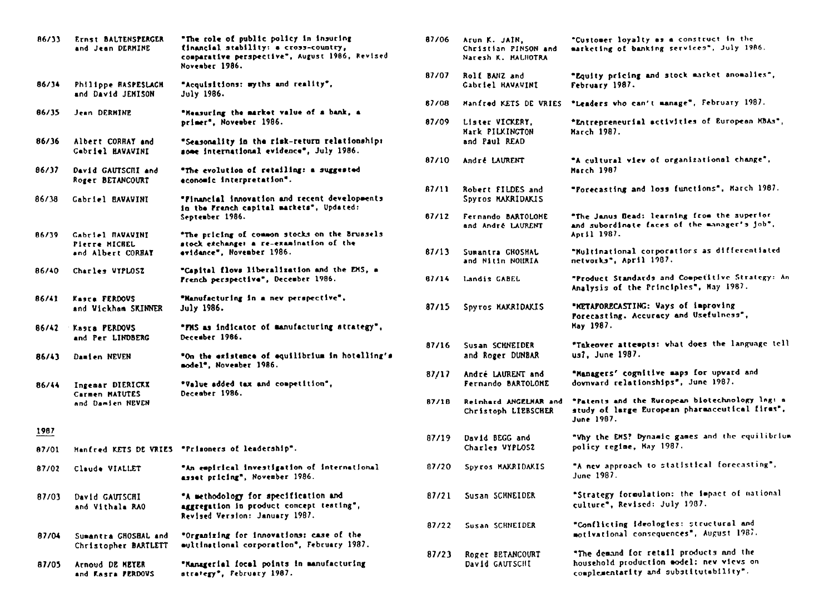| 86/33        | Ernst BALTENSPERGER<br>and Jean DERMINE                | "The role of public policy in insuring<br>financial stability: a cross-country,<br>comparative perspective", August 1986, Revised<br>November 1986. | 87/06          |
|--------------|--------------------------------------------------------|-----------------------------------------------------------------------------------------------------------------------------------------------------|----------------|
| 86/34        | Philippe HASPESLACH<br>and David JENISON               | "Acquisitions: myths and reality",<br><b>July 1986.</b>                                                                                             | 87/07          |
| 86/35        | Jean DERMINE                                           | "Heasuring the market value of a bank, a<br>primer", November 1986.                                                                                 | 87/08<br>87/09 |
| 86/36        | Albert CORRAY and<br>Cabriel HAVAVINI                  | "Seasonality in the risk-return relationships<br>some international evidence", July 1986.                                                           |                |
| 86/17        | David GAUTSCILL and<br>Roger BETANCOURT                | "The evolution of retailing: a suggested<br>economic interpretation".                                                                               | 87/10          |
| 86/38        | Cabriel BAVAVINI                                       | "Financial innovation and recent developments<br>in the French capital markets", Updated:<br>September 1986.                                        | 87/11<br>87/12 |
| 86/39        | Gabriel HAVAVINI<br>Pierre MICHEL<br>and Albert CORBAY | "The pricing of common stocks on the Brussels<br>atock exchange: a re-examination of the<br>evidance". November 1986.                               | 87/11          |
| 86/40        | Charles VYPLOSZ                                        | "Capital flows liberalization and the EMS, a<br>French perspective", December 1986.                                                                 | 81/14          |
| 86/41        | Kasra FERDOVS<br>and Vickham SKINNER                   | "Hanufacturing in a new perspective".<br>July 1986.                                                                                                 | 87/1           |
|              | 86/42 Kasra PERDOVS<br>and Per LINDBERG                | "FMS as indicator of manufacturing strategy",<br>December 1986.                                                                                     |                |
| <b>B6/43</b> | Damien NEVEN                                           | "On the existence of equilibrium in hotelling's<br>model". November 1986.                                                                           | 87/10          |
| 86/44        | Ingemar DIERICKX<br>Carmen MATUTES                     | "Value added tax and competition",<br>December 1986.                                                                                                | 87/1           |
|              | and Damien NEVEN                                       |                                                                                                                                                     | 87/11          |
| 1987         |                                                        |                                                                                                                                                     | 87/1           |
| 87/01        |                                                        | Hanfred KETS DE VRIES "Prisoners of leadership".<br>"An empirical investigation of international                                                    | 87/20          |
| 87/02        | Claude VIALLET                                         | asset pricing", November 1986.                                                                                                                      |                |
| 87/03        | David GAUTSCHI<br>and Vithala RAO                      | "A methodology for specification and<br>aggregation in product concept testing",<br>Revised Version: January 1987.                                  | 87/2           |
| 87/04        | Sumantra GHOSBAL and<br>Christopher BARTLETT           | "Organizing for innovations: case of the<br>eultinational corporation", February 1987.                                                              | 87/2           |
| 87/05        | Arnoud DE MEYER<br>and Kasra PERDOVS                   | "Managerial focal points in manufacturing<br>strategy", February 1987.                                                                              | 87/2           |

| 87/06 | Arun K. JAIN,<br>Christian PINSON and<br>Naresh K. HALHOTRA | "Customer loyalty as a construct in the<br>marketing of banking services", July 1986.                                         |
|-------|-------------------------------------------------------------|-------------------------------------------------------------------------------------------------------------------------------|
| 87/07 | Rolf BANZ and<br>Gabriel HAVAVINI                           | "Equity pricing and stock market anomalies",<br>February 1987.                                                                |
| 87/08 | Manfred KETS DE VRIES                                       | "Leaders who can't manage", February 1987.                                                                                    |
| 87/09 | Lister VICKERY,<br>Mark PILKINGTON<br>and Paul READ         | "Entrepreneurial activities of European MBAs",<br>March 1987.                                                                 |
| 87/10 | Andre LAURENT                                               | "A cultural view of organizational change",<br>March 1987                                                                     |
| 87/11 | Robert FILDES and<br>Spyros MAKRIDAKIS                      | "Forecasting and loss functions", March 1987.                                                                                 |
| 87/12 | Fernando BARTOLOME<br>and Andre LAURENT                     | "The Janus Bead: learning from the superior<br>and subordinate faces of the manager's job",<br>April 1987.                    |
| 87/13 | Sumantra GHOSHAL<br>and Nitin NOMRIA                        | "Nultinational corporations as differentiated<br>netvorks", April 1987.                                                       |
| 87/14 | Landis CABEL                                                | "Product Standards and Competitive Strategy: An<br>Analysis of the Principles", May 1987.                                     |
| 87/15 | Spyros MAKRIDAKIS                                           | "METAPORECASTING: Vays of improving<br>Porecasting. Accuracy and Usefulness",<br>May 1987.                                    |
| 87/16 | Susan SCHNEIDER<br>and Roger DUNBAR                         | "Takeover attempts: what does the language tell<br>us?. June 1987.                                                            |
| 87/17 | André LAURENT and<br>Fernando BARTOLONE                     | "Managers' cognitive saps for upvard and<br>downward relationships", June 1987.                                               |
| 87/18 | Reinhard ANGELHAR and<br>Christoph LIEBSCHER                | "Patents and the European blotechnology log: a<br>study of large European pharmaceutical firms".<br><b>June 1987.</b>         |
| 87/19 | David BEGG and<br>Charles VYPLOSZ                           | "Why the EMS? Dynamic games and the equilibrium<br>policy regime, May 1987.                                                   |
| 87/20 | Spyros MAKRIDAKIS                                           | "A new approach to statistical forecasting".<br>June 1987.                                                                    |
| 87/21 | Susan SCHNEIDER                                             | "Strategy formulation: the impact of national<br>culture", Revised: July 1987.                                                |
| 87/22 | Susan SCHNEIDER                                             | "Conflicting ideologies: structural and<br>motivational consequences", August 1987.                                           |
| 87/23 | Roger BETANCOURT<br>David GAUTSCHI                          | "The demand for retail products and the<br>household production model: new views on<br>complementarity and substitutability". |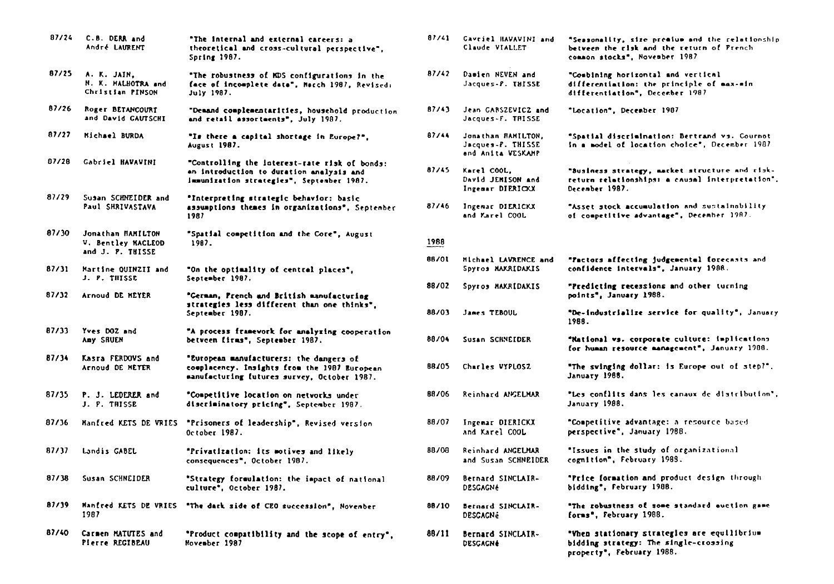| 87/24 | C.B. DERR and<br>André LAURENT                              | "The internal and external careers: a<br>theoretical and cross-cultural perspective".<br><b>Spring 1987.</b>                           |       | 87/41 Cavriel HAVAVINI and<br>Claude VIALLET                 | "Seasonality, size premium and the relationship<br>between the risk and the return of French<br>common stocks", November 1987 |
|-------|-------------------------------------------------------------|----------------------------------------------------------------------------------------------------------------------------------------|-------|--------------------------------------------------------------|-------------------------------------------------------------------------------------------------------------------------------|
| 87/25 | A. K. JAIN,<br>N. K. MALHOTRA and<br>Christian PINSON       | "The robustness of MDS configurations in the<br>face of incomplete data", March 1987, Revised:<br>July 1987.                           | 87/42 | Damien NEVEN and<br>Jacques-P. THISSE                        | "Combining horizontal and vertical<br>differentiation: the principle of max-min<br>differentiation", December 1987            |
| 87/26 | Roger BETANCOURT<br>and David CAUTSCHI                      | "Demand complementarities, household production<br>and retail assortments", July 1987.                                                 | 87/43 | Jean GABSZEVICZ and<br>Jacques-F. THISSE                     | "Location", December 1907                                                                                                     |
| 87/27 | Michael BURDA                                               | "Is there a capital shortage in Europe?",<br>August 1987.                                                                              | 87/44 | Jonathan RAMILTON,<br>Jacques-P. THISSE<br>and Anita VESKAHP | "Spatial discrimination: Bertrand vs. Cournot<br>in a model of location choice", December 1987                                |
| 07/28 | Gabriel HAVAVINI                                            | "Controlling the interest-rate risk of bonds:<br>an introduction to duration analysis and<br>Immunization strategies", September 1987. | 87/45 | Karel COOL,<br>David JEMISON and<br>Ingemar DIERICKX         | "Business strategy, market structure and clok-<br>return relationships: a causal interpretation".<br>December 1987.           |
| 87/29 | Susan SCHNEIDER and<br><b>Paul SHRIVASTAVA</b>              | "Interpreting strategic behavior: basic<br>assumptions thenes in organizations". September<br>1987                                     | 87/46 | Ingemar DIERICKX<br>and Marel COOL                           | "Asset stock accumulation and sustainability<br>of competitive advantage", December 1987.                                     |
| 87/30 | Jonathan HAMILTON<br>V. Bentley MACLEOD<br>and J. P. THISSE | "Spatial competition and the Core", August<br>1987.                                                                                    | 1988  |                                                              |                                                                                                                               |
| 87/31 | Martine QUINZII and<br>J. P. THISSE                         | "On the optimality of central places",<br>September 1987.                                                                              | 88/01 | Michael LAVRENCE and<br>Spyros MAKRIDAKIS                    | "Factors affecting judgemental forecasts and<br>confidence intervals", January 1988.                                          |
| 87/32 | Arnoud DE MEYER                                             | "German, Prench and British manufacturing<br>strategies less different than one thinks",                                               | 88/02 | Spyros MAXRIDAKIS                                            | "Predicting recessions and other turning<br>points", January 1988.                                                            |
|       |                                                             | September 1987.                                                                                                                        | 88/03 | James TEBOUL                                                 | "De-industrialize service for quality", January<br>1988.                                                                      |
| 87/33 | Yves DOZ and<br>Any SRUEN                                   | "A process framework for mnalyzing cooperation<br>betveen firms", September 1987.                                                      | 88/04 | Susan SCHNEIDER                                              | "National vs. corporate culture: implications<br>for human resource management", January 1908.                                |
| 87/34 | Kasra FERDOVS and<br>Arnoud DE MEYER                        | "European manufacturers: the dangers of<br>complacency. Insights from the 1987 European<br>manufacturing futures survey, October 1987. | 88705 | Charles VYPLOSZ                                              | "The svinging dollar: is Europe out of step?".<br>January 1988.                                                               |
| 87/35 | P. J. LEDERER and<br>J. P. THISSE                           | "Competitive location on networks under<br>discriminatory pricing", September 1987.                                                    | 88/06 | Reinhard ANGELMAR                                            | "Les conflits dans les canaux de distribution",<br>January 1988.                                                              |
|       |                                                             | 87/36 Manfred KETS DE VRIES "Prisoners of leadership", Revised version<br>October 1987.                                                |       | 88/07 Ingemar DIERICKX<br>and Karel COOL                     | <b>"Competitive advantage: a resource based.</b><br>perspective", January 1988.                                               |
| 87/37 | Landis GABEL                                                | "Privatization: its motives and likely<br>consequences", October 1987.                                                                 | 88/08 | Reinhard ANGELMAR<br>and Susan SCHNEIDER                     | "Issues in the study of organizational<br>cognition", February 1988.                                                          |
| 87/38 | Susan SCHNEIDER                                             | "Strategy formulation: the impact of national<br>culture", October 1987.                                                               | 88/09 | Bernard SINCLAIR-<br><b>DESGAGNé</b>                         | "Price formation and product design through<br>bidding", February 1988.                                                       |
| 87/39 | Manfred KETS DE VRIES<br>1987                               | "The dark side of CEO succession", November                                                                                            | 88/10 | Bernard SINCLAIR-<br><b>DESCACNé</b>                         | "The robustness of some standard auction game<br>forms", February 1988.                                                       |
| 87/40 | Carmen MATUTES and<br>Plerre REGIBEAU                       | "Product compatibility and the scope of entry",<br>November 1987                                                                       | 88/11 | Bernard SINCLAIR-<br>DESCACHE                                | "When stationary strategies are equilibrius<br>bidding strategy: The single-crossing<br>property", February 1988.             |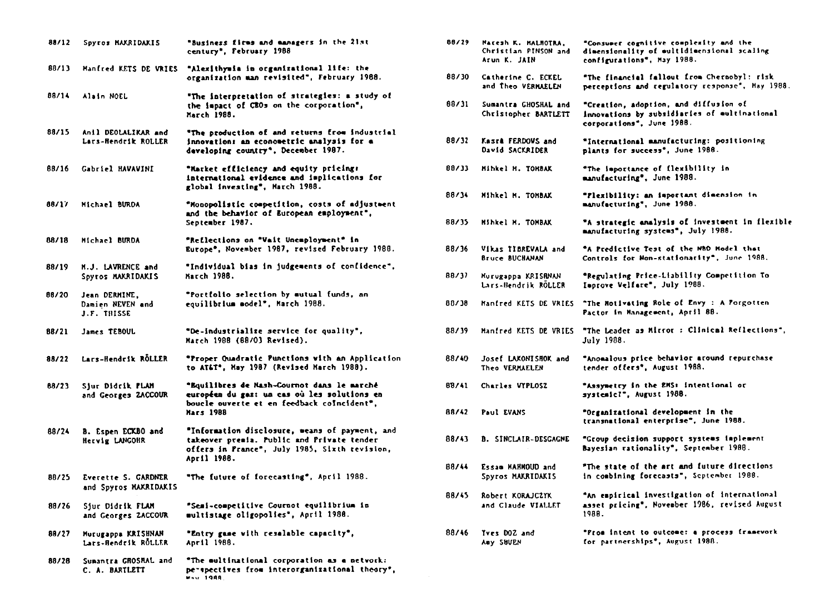| 88/12 | Spyros MAXRIDAKIS                                   | "Business firms and managers in the 21st<br>century", February 1988                                                                                          |
|-------|-----------------------------------------------------|--------------------------------------------------------------------------------------------------------------------------------------------------------------|
| 88/13 | Manfred KETS DE VRIES                               | "Alexithymia in organizational life: the<br>organization man revisited", February 1988.                                                                      |
| 88/14 | Alain NOEL                                          | "The interpretation of strategies: a study of<br>the impact of CBOs on the corporation",<br>March 1988.                                                      |
| 88/15 | Anil DEOLALIKAR and<br>Lars-Hendrik ROLLER          | "The production of and returns from industrial<br>innovation: an econometric analysis for a<br>developing country", December 1987.                           |
| 88/16 | Gabriel HAVAVINI                                    | "Market efficiency and equity pricing:<br>international evidence and implications for<br>global investing", March 1988.                                      |
| 88/17 | Michael BURDA                                       | "Monopolistic competition, costs of adjustment<br>and the behavior of European employment",<br>September 1987.                                               |
| 88/18 | Michael BURDA                                       | "Reflections on "Vait Unemployment" in<br>Europe", November 1987, revised February 1988.                                                                     |
| 88/19 | H.J. LAVRENCE and<br>Spyros MAKRIDAKIS              | "Individual bias in judgements of confidence".<br>March 1988.                                                                                                |
| 88/20 | Jean DERMINE,<br>Damien NEVEN and<br>J.F. THISSE    | "Portfolio selection by mutual funds, an<br>equilibrium model", March 1988.                                                                                  |
| 88/21 | James TEBOUL                                        | "De-industrialize service for quality",<br><b>March 1988 (88/03 Revised).</b>                                                                                |
| 88/22 | Lars-Hendrik RÖLLER                                 | *Proper Quadratic Punctions with an Application<br>to AT&T", May 1987 (Revised March 1988).                                                                  |
| 88/23 | Sjur Didrik FLAM<br>and Georges ZACCOUR             | "Equilibres de Mash-Cournot dans le marché<br>européen du gaz: un cas où les solutions en<br>boucle ouverte et en feedback coincident",<br><b>Mars 1988</b>  |
| 88/24 | B. Espen ECKBO and<br>Hervig LANGOHR                | "Information disclosure, weans of payment, and<br>takeover premia. Public and Private tender<br>offers in Prance", July 1985, Sixth revision,<br>April 1988. |
| 88/25 | <b>Everette S. GARDNER</b><br>and Spyros MAKRIDAKIS | "The future of forecasting", April 1988.                                                                                                                     |
| 88/26 | Sjur Didrik FLAM<br>and Georges ZACCOUR             | "Semi-competitive Cournot equilibrium in<br>multistage oligopolies", April 1988.                                                                             |
| 88/27 | Murugappa KRISHNAN<br>Lars-Hendrik ROLLER           | "Entry game with resalable capacity",<br>April 1988.                                                                                                         |
| 88/28 | Sumantra GROSHAL and<br>C. A. BARTLETT              | "The multimational corporation as a netvork:<br>perspectives from interorganizational theory",<br><b>MAV 1988</b>                                            |
|       |                                                     |                                                                                                                                                              |

| 88/29 | Nacesh K. MALNOTRA.<br>Christian PINSON and<br>Arun K. JAIN | "Consumer cognitive complexity and the<br>dimensionality of multidimensional scaling<br>configurations", May 1988. |
|-------|-------------------------------------------------------------|--------------------------------------------------------------------------------------------------------------------|
| 88/30 | Catherine C. ECKEL<br>and Theo VERMAELEN                    | "The financial fallout from Chernobyl: risk<br>perceptions and regulatory response", Hay 1988.                     |
| 88/11 | Sumantra GHOSHAL and<br>Christopher BARTLETT                | "Creation, adoption, and diffusion of<br>innovations by subsidiaries of eultinational<br>corporations", June 1988. |
| 88/32 | Kasr <b>a</b> FERDOVS and<br>David SACKRIDER                | "International manufacturing: positioning<br>plants for success <sup>*</sup> , June 1988.                          |
| 88/33 | Mihkel M. TOMBAK                                            | "The importance of flexibility in<br>manufacturing", June 1988.                                                    |
| 88/34 | Mihkel M. TOMBAK                                            | "Flexibility: an important dimension in<br>manufacturing", June 1988.                                              |
| 88/35 | Mihkel M. TOMBAK                                            | "A strategic analysis of investment in flexible<br>manufacturing systems", July 1988.                              |
| 88/36 | Vikas TIBREVALA and<br><b>Bruce BUCHANAN</b>                | "A Predictive Test of the NBD Model that<br>Controls for Non-stationarity", June 1988.                             |
| 88/37 | Murugappa KRISBNAN<br>Lars-Bendrik ROLLER                   | "Regulating Price-Liability Competition To<br>Improve Velfare", July 1988.                                         |
| 88/30 | Manfred KETS DE VRIES                                       | "The Motivating Role of Envy : A Porgotten<br>Pactor in Management, April 88.                                      |
| 88/19 | Manfred KETS DE VRIES                                       | "The Leader as Mirror : Clinical Reflections",<br>July 1988.                                                       |
| 88/40 | <b>Josef LAKONISHOK and</b><br>Theo VERMAELEN               | "Anomalous price behavior around repurchase<br>tender offers", August 1988.                                        |
| 88/41 | Charles VYPLOSZ                                             | "Assymetry in the EMS: intentional or<br>systemic?", August 1988.                                                  |
| 88/42 | <b>Paul EVANS</b>                                           | "Organizational development in the<br>transnational enterprise", June 1988.                                        |
| 88/43 | <b>B. SINCLAIR-DESCACNE</b>                                 | "Group decision support systems implement<br>Bayesian rationality", September 1988.                                |
| 88/44 | Essam MAHMOUD and<br>Spyros MAKRIDAKIS                      | "The state of the art and future directions<br>in combining forecasts", September 1988.                            |
| 88/45 | Robert KORAJCZYK<br>and Claude VIALLET                      | "An espirical investigation of international<br>asset pricing", November 1986, revised August<br>1988.             |
| 88/46 | Yves DOZ and<br>Amy SHUEN                                   | "Prom intent to outcome: a process framework<br>for partnerships", August 1988.                                    |
|       |                                                             |                                                                                                                    |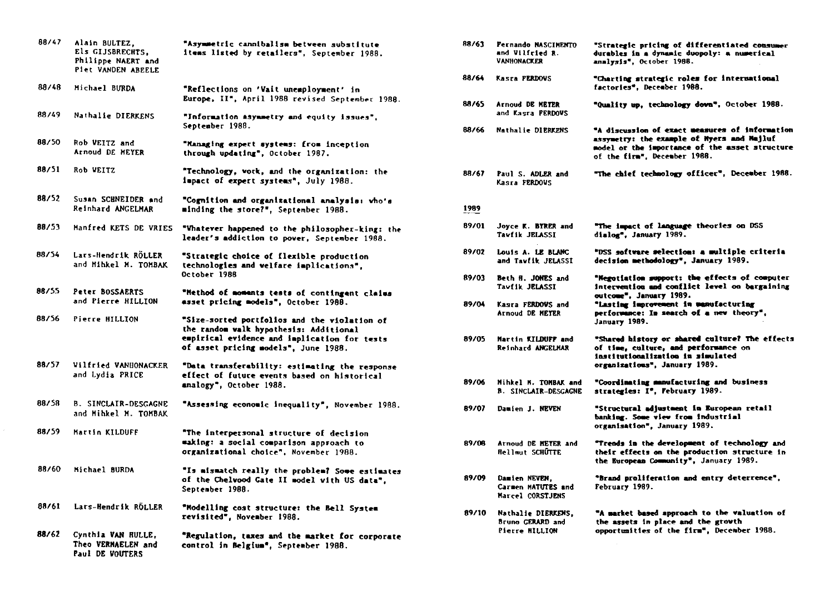| 88/47 | Alain BULTEZ.<br>Els GIJSBRECHTS,<br>Philippe NAERT and<br>Piet VANDEN ABEELE | "Asymmetric cannibalism between substitute<br>items listed by retailers", September 1988.                                                                                      |
|-------|-------------------------------------------------------------------------------|--------------------------------------------------------------------------------------------------------------------------------------------------------------------------------|
| 88/48 | Michael BURDA                                                                 | "Reflections on 'Vait unemployment' in<br>Europe, II", April 1988 revised September 1988.                                                                                      |
| 88/49 | Nathalie DIERKENS                                                             | "Information asymmetry and equity issues",<br>September 1988.                                                                                                                  |
| 88/50 | Rob VEITZ and<br>Arnoud DE MEYER                                              | "Managing expert systems: from inception<br>through updating", October 1987.                                                                                                   |
| 88/51 | Rob WEITZ                                                                     | "Technology, vork, and the organization: the<br>impact of expert systems", July 1988.                                                                                          |
| 88/52 | Susan SCHNEIDER and<br>Reinhard ANGELMAR                                      | "Cognition and organizational analysis: vho's<br>minding the store?", September 1988.                                                                                          |
| 88/53 | <b>Manfred KETS DE VRIES</b>                                                  | "Whatever happened to the philosopher-king: the<br>leader's addiction to pover, September 1988.                                                                                |
| 88/54 | Lars-Hendrik RÖLLER<br>and Mihkel M. TOMBAK                                   | "Strategic choice of flexible production<br>technologies and welfare implications",<br>October 1988                                                                            |
| 88/55 | Peter BOSSAERTS<br>and Pierre HILLION                                         | "Method of moments tests of contingent claims<br>asset pricing models", October 1988.                                                                                          |
| 88/56 | Pierre HILLION                                                                | "Size-sorted portfolios and the violation of<br>the random walk hypothesis: Additional<br>empirical evidence and implication for tests<br>of asset pricing models", June 1988. |
| 88/57 | Vilfried VANHONACKER<br>and Lydia PRICE                                       | "Data transferability: estimating the response<br>effect of future events based on historical<br>analogy", October 1988.                                                       |
| 88/58 | <b>B. SINCLAIR-DESGAGNE</b><br>and Mihkel M. TOMBAK                           | "Assessing economic inequality", November 1988.                                                                                                                                |
| 88/59 | Martin KILDUFF                                                                | "The interpersonal structure of decision<br>maxing: a social comparison approach to<br>organizational choice", November 1988.                                                  |
| 88/60 | Michael BURDA                                                                 | "Is mismatch really the problem? Some estimates<br>of the Chelvood Gate II model with US data".<br>September 1988.                                                             |
| 88/61 | Lars-Hendrik RÖLLER                                                           | "Modelling cost structure: the Bell System<br>revisited", November 1988.                                                                                                       |
| 88/62 | Cynthia VAN HULLE,<br>Theo VERMAELEN and<br><b>Paul DE VOUTERS</b>            | "Regulation, taxes and the market for corporate<br>control in Belgium", September 1988.                                                                                        |

| te<br>38.              | 88/63 | Pernando NASCIMENTO<br>and Vilfried R.<br><b>VANHONACKER</b> | "Strategic pricing of differentiated consumer<br>durables in a dynamic duopoly: a numerical<br>analysis", October 1988.                                                        |
|------------------------|-------|--------------------------------------------------------------|--------------------------------------------------------------------------------------------------------------------------------------------------------------------------------|
|                        | 88/64 | Kasra PERDOVS                                                | "Charting strategic roles for international<br>factories", December 1988.                                                                                                      |
| $-1988.$<br>٠.         | 88/65 | Arnoud DE METER<br>and Kasra PERDOVS                         | "Quality up, technology down", October 1988.                                                                                                                                   |
|                        | 88/66 | <b>Nathalie DIERKENS</b>                                     | "A discussion of exact measures of information<br>assymetry: the example of Hyers and Majluf<br>model or the importance of the asset structure<br>of the firm", December 1988. |
| the                    | 88/67 | Paul S. ADLER and<br>Kasra FERDOUS                           | "The chief technology officer", December 1988.                                                                                                                                 |
| nho'e                  | 1989  |                                                              |                                                                                                                                                                                |
| <b>ig: the</b><br>188. | 89/01 | Joyce K. BYRER and<br>Tavfik JELASSI                         | "The impact of language theories on DSS<br>dialog", January 1989.                                                                                                              |
|                        | 89/02 | Louis A. LE BLANC<br>and Tawfik JELASSI                      | "DSS software selection: a multiple criteria<br>decision methodology", January 1989.                                                                                           |
| laims                  | 89/03 | Beth H. JONES and<br>Tavfik JELASSI                          | "Negotiation support: the effects of computer<br>intervention and conflict level on bargaining<br>outcome", January 1989.                                                      |
| ι of                   | 89/04 | Kasra FERDOVS and<br>Arnoud DE MEYER                         | "Lasting improvement in manufacturing<br>performance: In search of a new theory",<br>January 1989.                                                                             |
| :sts                   | 89/05 | Martin KILDUFF and<br>Reinhard ANGELHAR                      | "Shared history or shared culture? The effects<br>of time, culture, and performance on<br>institutionalization in simulated                                                    |
| ponse                  |       |                                                              | organizations", January 1989.                                                                                                                                                  |
| :al                    | 89/06 | Mihkel M. TOMBAK and<br><b>B. SINCLAIR-DESGAGNE</b>          | "Coordinating manufacturing and business<br>strategies: I*, February 1989.                                                                                                     |
| : 1988.                | 89/07 | Damien J. NEVEN                                              | "Structural adjustment in European retail<br>banking. Some view from industrial<br>organisation", January 1989.                                                                |
|                        | 89/08 | Arnoud DE METER and<br><b>Hellmut SCHUTTE</b>                | "Trends in the development of technology and<br>their effects on the production structure in<br>the European Community", January 1989.                                         |
| : imates<br>Ϫ.         | 89/09 | Damien NEVEN.<br>Carmen MATUTES and<br>Marcel CORSTJENS      | "Brand proliferation and entry deterrence",<br>February 1989.                                                                                                                  |
| ÷                      | 89/10 | <b>Nathalie DIERKENS,</b><br><b>Bruno GERARD and</b>         | "A market based approach to the valuation of<br>the assets in place and the growth                                                                                             |
| 'DOTATA                |       | <b>Pierre HILLION</b>                                        | opportunities of the firm", December 1988.                                                                                                                                     |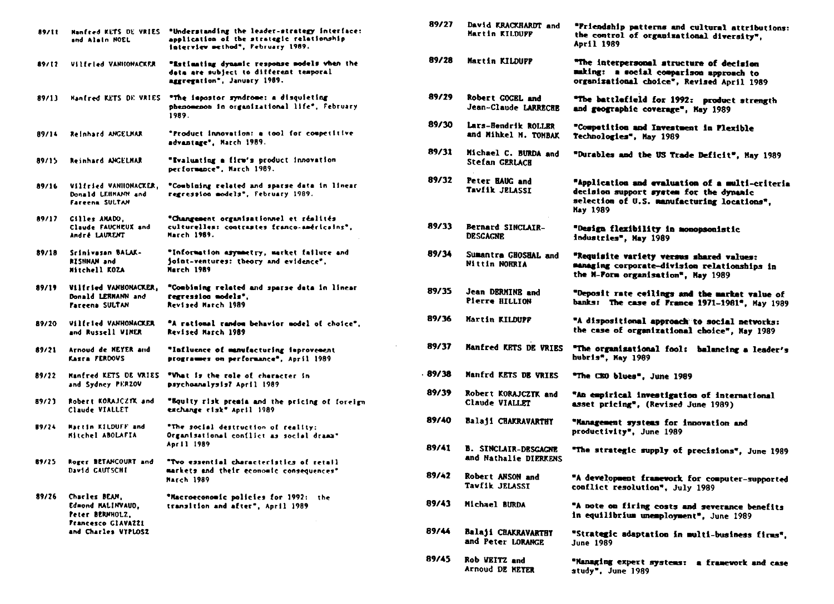| 89/11 | Manfred KETS DE VRIES<br>and Alain MOEL                                                            | "Understanding the leader-strategy interface:<br>application of the strategic relationship<br>interview method", February 1989. |
|-------|----------------------------------------------------------------------------------------------------|---------------------------------------------------------------------------------------------------------------------------------|
| 89/12 | <b>Vilfeled VANHONACKER</b>                                                                        | "Estimating dynamic response models when the<br>data are subject to different temporal<br>aggregation", January 1989.           |
| 89/13 | Hanfred KETS DE VRIES                                                                              | "The impostor syndrome: a disquieting<br>phenomenon in organizational life", February<br>1989.                                  |
| 89/14 | <b>Reinhard ANGELHAR</b>                                                                           | "Product innovation: a tool for competitive<br>advantage", March 1989.                                                          |
| 89/15 | <b>Reinhard ANGELHAR</b>                                                                           | "Evalunting a firm's product innovation<br>performance", March 1989.                                                            |
| 89/16 | Viltried VANHONACKER,<br>Donald LEHMANN and<br><b>Fareena SULTAN</b>                               | "Combining related and sparse data in linear<br>regression models", February 1989.                                              |
| 89/17 | Cilles AMADO,<br>Claude FAUCHEUX and<br>André LAURENT                                              | "Changement organisationnel et réalités<br>culturelles: contrastes franço-américains°,<br>March 1989.                           |
| 89/18 | Srinivasan BALAK-<br><b>bns WAHZIA</b><br>Mitchell KOZA                                            | "Information asymmetry, market failure and<br>joint-ventures: theory and evidence",<br><b>March 1989</b>                        |
| 89/19 | Viltried VANHONACKER,<br>Donald LEBMANN and<br>Fareena SULTAN                                      | "Combining related and sparse data in linear<br>regression models".<br><b>Revised March 1989</b>                                |
| 89/20 | Vilfrled VANHONACKER<br>and Russell VINER                                                          | "A rational random behavior model of choice",<br>Revised March 1989                                                             |
| 89/21 | Arnoud de MEYER and<br>Kasra FERDOVS                                                               | "Influence of manufacturing improvement<br>programmes on performance", April 1989                                               |
| 89/22 | Manfred KETS DE VRIES<br>and Sydney PERZOV                                                         | "What is the role of character in<br>psychoanalysis? April 1989                                                                 |
| 89/23 | Robert KORAJCZYK and<br>Claude VIALLET                                                             | "Bquity risk premia and the pricing of foreign<br>exchange risk" April 1989                                                     |
| 89/24 | <b>Martin KilDUFF and</b><br>Mitchel ABOLAFIA                                                      | "The social destruction of reality:<br>Organisational conflict as social drama"<br>April 1989                                   |
| 89/25 | Roger BETANCOURT and<br>David CAUTSCHI                                                             | "Two essential characteristics of retail<br>markets and their economic consequences"<br>March 1989                              |
| 89/26 | Charles BEAM,<br>Edmond MALINVAUD,<br>Peter BERNHOLZ,<br>Francesco GIAVAZZI<br>and Charles VYPLOSZ | "Macroeconomic policies for 1992:<br>the<br>transition and after", April 1989                                                   |

| 89/27 | David KRACKHARDT and<br>Martin KILDUPP               | "Friendship patterns and cultural attributions:<br>the control of organizational diversity",<br>April 1989                                                   |
|-------|------------------------------------------------------|--------------------------------------------------------------------------------------------------------------------------------------------------------------|
| 89/28 | Martin KILDUFF                                       | "The interpersonal structure of decision<br>making: a social comparison approach to<br>organizational choice", Revised April 1989                            |
| 89/29 | Robert GOGEL and<br>Jean-Claude LARRECHE             | "The battlefield for 1992: product strength<br>and geographic coverage", May 1989                                                                            |
| 89/30 | Lars-Bendrik ROLLER<br>and Mihkel M. TOMBAK          | "Competition and Investment in Flexible<br>Technologies", May 1989                                                                                           |
| 89/31 | Michael C. BURDA and<br>Stefan GERLACH               | "Durables and the US Trade Deficit", May 1989                                                                                                                |
| 89/32 | Peter HAUG and<br>Tavfik JELASSI                     | "Application and evaluation of a multi-criteria<br>decision support system for the dynanic<br>selection of U.S. manufacturing locations".<br><b>May 1989</b> |
| 89/33 | Bernard SINCLAIR-<br><b>DESCAGNE</b>                 | "Design flexibility in monopsonistic<br>industries", May 1989                                                                                                |
| 89/34 | Sumantra GHOSHAL and<br>Nittin NOHRIA                | "Requisite variety versus shared values:<br>managing corporate-division relationships in<br>the N-Form organisation", May 1989                               |
| 89/35 | Jean DERMINE and<br>Pierre HILLION                   | "Deposit rate ceilings and the market value of<br>banks: The case of France 1971-1981", May 1989                                                             |
| 89/36 | Martin KILDUPP                                       | "A dispositional approach to social networks:<br>the case of organizational choice", May 1989                                                                |
| 89/37 | <b>Manfred KETS DE VRIES</b>                         | "The organisational fool: balancing a leader's<br>hubris", May 1989                                                                                          |
| 89/38 | Manfrd KETS DE VRIES                                 | "The CBO blues", June 1989                                                                                                                                   |
| 89/39 | Robert KORAJCZYK and<br>Claude VIALLET               | "An empirical investigation of international<br>asset pricing", (Revised June 1989)                                                                          |
| 89/40 | <b>Balaji CHAKRAVARTHY</b>                           | "Management systems for innovation and<br>productivity", June 1989                                                                                           |
| 89/41 | <b>B. SINCLAIR-DESGAGNE</b><br>and Nathalie DIERKENS | "The strategic supply of precisions", June 1989                                                                                                              |
| 89/42 | Robert ANSON and<br>Tavfik JELASSI                   | "A development framework for computer-supported<br>conflict resolution", July 1989                                                                           |
| 89/43 | Michael BURDA                                        | "A note on firing costs and severance benefits<br>in equilibrium unemployment", June 1989                                                                    |
| 89/44 | <b>Balaji CHAKRAVARTHY</b><br>and Peter LORANGE      | "Strategic adaptation in multi-business firms",<br><b>June 1989</b>                                                                                          |
| 89/45 | Rob VEITZ and<br>Arnoud DE METER                     | "Hanaging expert systems: a framework and case<br>study", June 1989                                                                                          |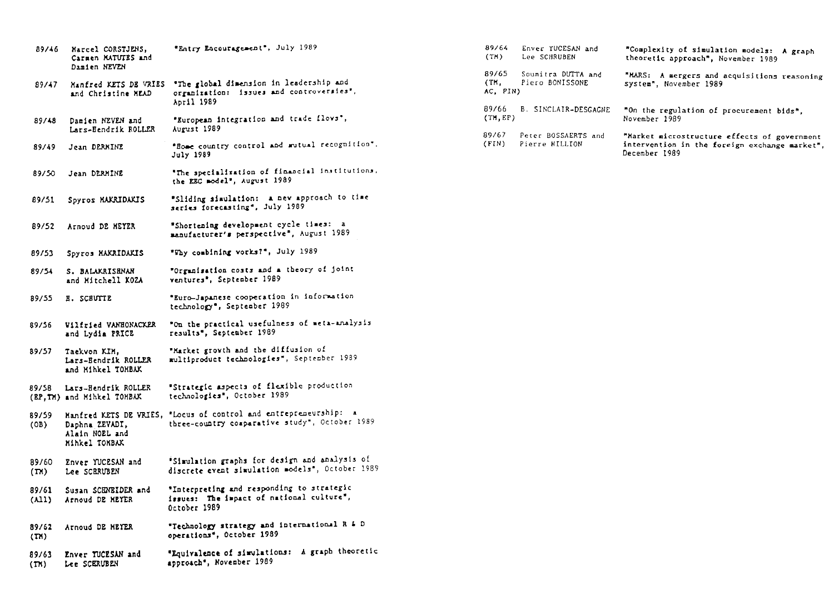| 89/46                      | Marcel CORSTJENS,                                        | "Entry Encouragement", July 1989                                                                                 |
|----------------------------|----------------------------------------------------------|------------------------------------------------------------------------------------------------------------------|
|                            | Carmen MATUTES and<br>Damien NEVEN                       |                                                                                                                  |
| 89/47                      | Manfred KETS DE VRIES<br>and Christine NEAD              | "The global dimension in leadership and<br>organization: issues and controversies",<br>April 1989                |
| 89/48                      | Damien NEVEN and<br>Lars-Hendrik ROLLER                  | "European integration and trade flovs",<br>August 1989                                                           |
| 89/49                      | Jean DERKINE                                             | "Home country control and mutual recognition",<br>July 1989                                                      |
| 89/50                      | Jean DERMINE                                             | "The specialization of financial institutions,<br>the EEC model", August 1989                                    |
| 89/51                      | Spyros MAKRIDAKIS                                        | "Sliding simulation: a new approach to time<br>series forecasting", July 1989                                    |
| 89/52                      | Arnoud DE HEYER                                          | "Shortening development cycle times: a<br>manufacturer's perspective", August 1989                               |
| 89/53                      | Spyros MAKRIDAKIS                                        | "Why combining vorks?", July 1989                                                                                |
| 89/54                      | S. BALAKRISENAN<br>and Mitchell KOZA                     | "Organisation costs and a theory of joint<br>ventures <sup>*</sup> , September 1989                              |
| 89/55                      | <b>H. SCHUTTE</b>                                        | "Euro-Japanese cooperation in information<br>technology", September 1989                                         |
| 89/56                      | Vilfried VANHONACKER<br>and Lydia PRICE                  | "On the practical usefulness of meta-analysis<br>results", September 1989                                        |
| 89/57                      | Taekvon KIM,<br>Lars-Bendrik ROLLER<br>and Hihkel TOHBAK | "Market growth and the diffusion of<br>multiproduct technologies", September 1939                                |
| 89/SB                      | Lars-Hendrik ROLLER<br>(EP, TM) and Mihkel TOMBAX        | "Strategic aspects of flexible production<br>technologies", October 1989                                         |
| 89/59<br>(OB)              | Daphna ZEVADI,<br>Alain NOEL and<br>Minkel TOMBAK        | Manfred KETS DE VRIES, "Locus of control and entrepreneurship:<br>three-country comparative study", October 1989 |
| 89/60<br>(T <sub>M</sub> ) | Enver YUCESAN and<br>Lee SCBRUBEN                        | "Simulation graphs for design and analysis of<br>discrete event simulation models", October 1989                 |
| 89/61<br>$(\lambda 11)$    | Susan SCHNEIDER and<br>Arnoud DE MEYER                   | "Interpreting and responding to strategic<br>issues: The impact of national culture",<br>October 1989            |
| 89/62<br>(T <sub>A</sub> ) | Arnoud DE HEYER                                          | "Technology strategy and international R & D<br>operations", October 1989                                        |
| 89/63<br>(TN)              | Enver TUCESAN and<br>Lee SCERUBEN                        | "Equivalence of simulations: A graph theoretic<br>approach", November 1989                                       |
|                            |                                                          |                                                                                                                  |

| 89/64<br>(TH)             | Enver YUCESAN and<br>Lee SCHRUBEN     | "Complexity of simulation models: A graph<br>theoretic approach", November 1989                                |
|---------------------------|---------------------------------------|----------------------------------------------------------------------------------------------------------------|
| 89/65<br>(TM,<br>AC, PIN) | Soumitra DUTTA and<br>Piero BONISSONE | "MARS: A mergers and acquisitions reasoning<br>system", November 1989                                          |
| 89/66<br>(TM, EP)         | B. SINCLAIR-DESGAGNE                  | "On the regulation of procurement bids",<br>November 1989                                                      |
| 89/67<br>(FIN)            | Peter BOSSAERTS and<br>Pierre HILLION | "Market microstructure effects of government<br>intervention in the foreign exchange market",<br>December 1989 |
|                           |                                       |                                                                                                                |